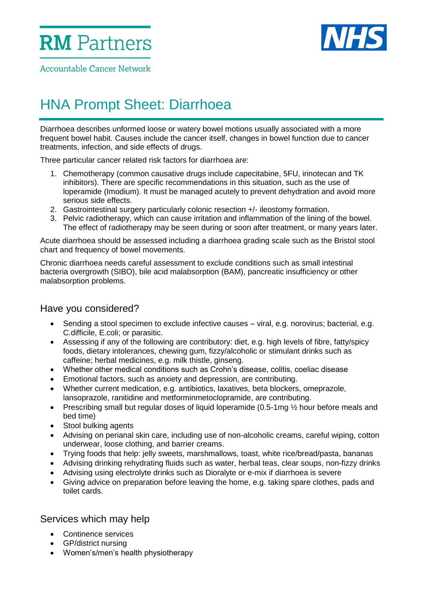**RM** Partners



**Accountable Cancer Network** 

# HNA Prompt Sheet: Diarrhoea

Diarrhoea describes unformed loose or watery bowel motions usually associated with a more frequent bowel habit. Causes include the cancer itself, changes in bowel function due to cancer treatments, infection, and side effects of drugs.

Three particular cancer related risk factors for diarrhoea are:

- 1. Chemotherapy (common causative drugs include capecitabine, 5FU, irinotecan and TK inhibitors). There are specific recommendations in this situation, such as the use of loperamide (Imodium). It must be managed acutely to prevent dehydration and avoid more serious side effects.
- 2. Gastrointestinal surgery particularly colonic resection +/- ileostomy formation.
- 3. Pelvic radiotherapy, which can cause irritation and inflammation of the lining of the bowel. The effect of radiotherapy may be seen during or soon after treatment, or many years later.

Acute diarrhoea should be assessed including a diarrhoea grading scale such as the Bristol stool chart and frequency of bowel movements.

Chronic diarrhoea needs careful assessment to exclude conditions such as small intestinal bacteria overgrowth (SIBO), bile acid malabsorption (BAM), pancreatic insufficiency or other malabsorption problems.

### Have you considered?

- Sending a stool specimen to exclude infective causes viral, e.g. norovirus; bacterial, e.g. C.difficile, E.coli; or parasitic.
- Assessing if any of the following are contributory: diet, e.g. high levels of fibre, fatty/spicy foods, dietary intolerances, chewing gum, fizzy/alcoholic or stimulant drinks such as caffeine; herbal medicines, e.g. milk thistle, ginseng.
- Whether other medical conditions such as Crohn's disease, colitis, coeliac disease
- Emotional factors, such as anxiety and depression, are contributing.
- Whether current medication, e.g. antibiotics, laxatives, beta blockers, omeprazole, lansoprazole, ranitidine and metforminmetoclopramide, are contributing.
- Prescribing small but regular doses of liquid loperamide (0.5-1mg 1/2 hour before meals and bed time)
- Stool bulking agents
- Advising on perianal skin care, including use of non-alcoholic creams, careful wiping, cotton underwear, loose clothing, and barrier creams.
- Trying foods that help: jelly sweets, marshmallows, toast, white rice/bread/pasta, bananas
- Advising drinking rehydrating fluids such as water, herbal teas, clear soups, non-fizzy drinks
- Advising using electrolyte drinks such as Dioralyte or e-mix if diarrhoea is severe
- Giving advice on preparation before leaving the home, e.g. taking spare clothes, pads and toilet cards.

### Services which may help

- Continence services
- GP/district nursing
- Women's/men's health physiotherapy